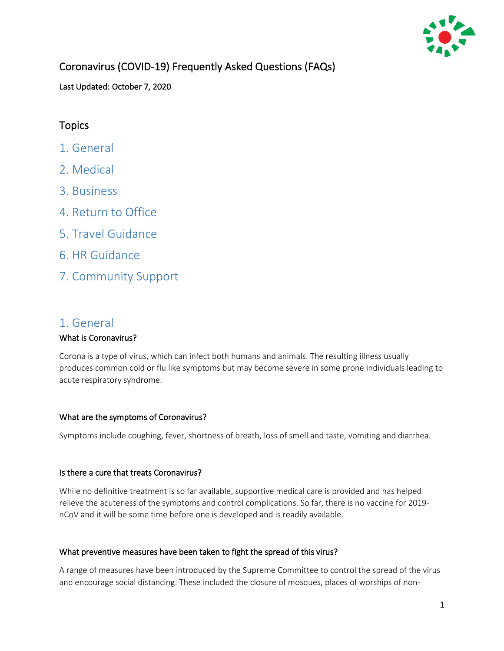

# Coronavirus (COVID-19) Frequently Asked Questions (FAQs)

Last Updated: October 7, 2020

# **Topics**

- [1. General](#page-0-0)
- [2. Medical](#page-2-0)
- [3. Business](#page-5-0)
- [4. Return to Office](#page-7-0)
- [5. Travel Guidance](#page-10-0)
- [6. HR Guidance](#page-12-0)
- [7. Community Support](#page-20-0)

# <span id="page-0-0"></span>1. General

# What is Coronavirus?

Corona is a type of virus, which can infect both humans and animals. The resulting illness usually produces common cold or flu like symptoms but may become severe in some prone individuals leading to acute respiratory syndrome.

# What are the symptoms of Coronavirus?

Symptoms include coughing, fever, shortness of breath, loss of smell and taste, vomiting and diarrhea.

# Is there a cure that treats Coronavirus?

While no definitive treatment is so far available, supportive medical care is provided and has helped relieve the acuteness of the symptoms and control complications. So far, there is no vaccine for 2019 nCoV and it will be some time before one is developed and is readily available.

# What preventive measures have been taken to fight the spread of this virus?

A range of measures have been introduced by the Supreme Committee to control the spread of the virus and encourage social distancing. These included the closure of mosques, places of worships of non-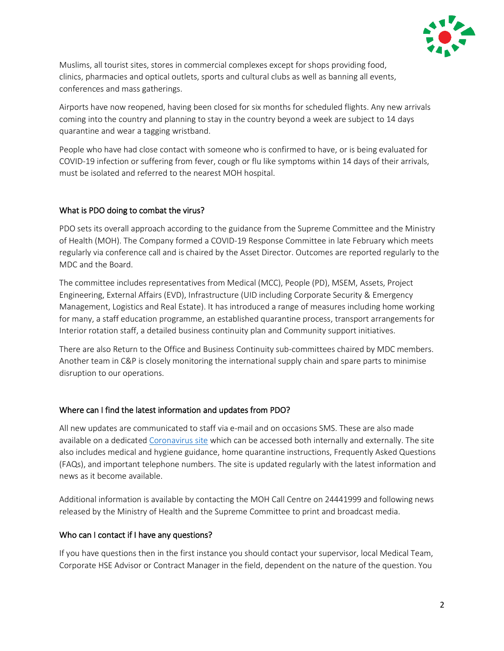

Muslims, all tourist sites, stores in commercial complexes except for shops providing food, clinics, pharmacies and optical outlets, sports and cultural clubs as well as banning all events, conferences and mass gatherings.

Airports have now reopened, having been closed for six months for scheduled flights. Any new arrivals coming into the country and planning to stay in the country beyond a week are subject to 14 days quarantine and wear a tagging wristband.

People who have had close contact with someone who is confirmed to have, or is being evaluated for COVID-19 infection or suffering from fever, cough or flu like symptoms within 14 days of their arrivals, must be isolated and referred to the nearest MOH hospital.

# What is PDO doing to combat the virus?

PDO sets its overall approach according to the guidance from the Supreme Committee and the Ministry of Health (MOH). The Company formed a COVID-19 Response Committee in late February which meets regularly via conference call and is chaired by the Asset Director. Outcomes are reported regularly to the MDC and the Board.

The committee includes representatives from Medical (MCC), People (PD), MSEM, Assets, Project Engineering, External Affairs (EVD), Infrastructure (UID including Corporate Security & Emergency Management, Logistics and Real Estate). It has introduced a range of measures including home working for many, a staff education programme, an established quarantine process, transport arrangements for Interior rotation staff, a detailed business continuity plan and Community support initiatives.

There are also Return to the Office and Business Continuity sub-committees chaired by MDC members. Another team in C&P is closely monitoring the international supply chain and spare parts to minimise disruption to our operations.

# Where can I find the latest information and updates from PDO?

All new updates are communicated to staff via e-mail and on occasions SMS. These are also made available on a dedicated [Coronavirus site](https://www.pdo.co.om/hseforcontractors/Pages/awareness.aspx) which can be accessed both internally and externally. The site also includes medical and hygiene guidance, home quarantine instructions, Frequently Asked Questions (FAQs), and important telephone numbers. The site is updated regularly with the latest information and news as it become available.

Additional information is available by contacting the MOH Call Centre on 24441999 and following news released by the Ministry of Health and the Supreme Committee to print and broadcast media.

# Who can I contact if I have any questions?

If you have questions then in the first instance you should contact your supervisor, local Medical Team, Corporate HSE Advisor or Contract Manager in the field, dependent on the nature of the question. You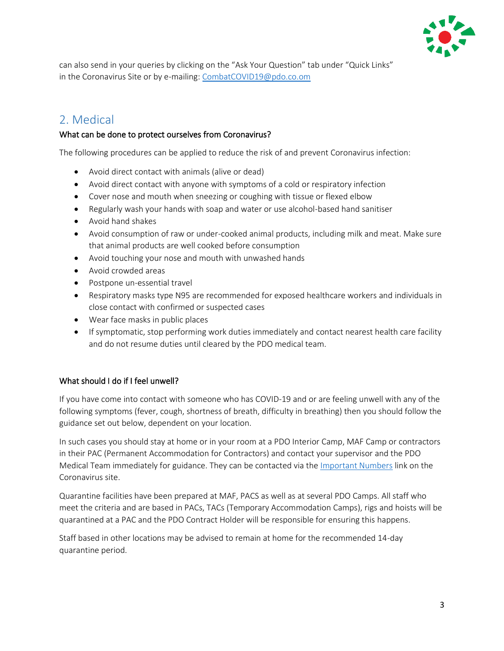

can also send in your queries by clicking on the "Ask Your Question" tab under "Quick Links" in the Coronavirus Site or by e-mailing[: CombatCOVID19@pdo.co.om](mailto:CombatCOVID19@pdo.co.om)

# <span id="page-2-0"></span>2. Medical

# What can be done to protect ourselves from Coronavirus?

The following procedures can be applied to reduce the risk of and prevent Coronavirus infection:

- Avoid direct contact with animals (alive or dead)
- Avoid direct contact with anyone with symptoms of a cold or respiratory infection
- Cover nose and mouth when sneezing or coughing with tissue or flexed elbow
- Regularly wash your hands with soap and water or use alcohol-based hand sanitiser
- Avoid hand shakes
- Avoid consumption of raw or under-cooked animal products, including milk and meat. Make sure that animal products are well cooked before consumption
- Avoid touching your nose and mouth with unwashed hands
- Avoid crowded areas
- Postpone un-essential travel
- Respiratory masks type N95 are recommended for exposed healthcare workers and individuals in close contact with confirmed or suspected cases
- Wear face masks in public places
- If symptomatic, stop performing work duties immediately and contact nearest health care facility and do not resume duties until cleared by the PDO medical team.

# What should I do if I feel unwell?

If you have come into contact with someone who has COVID-19 and or are feeling unwell with any of the following symptoms (fever, cough, shortness of breath, difficulty in breathing) then you should follow the guidance set out below, dependent on your location.

In such cases you should stay at home or in your room at a PDO Interior Camp, MAF Camp or contractors in their PAC (Permanent Accommodation for Contractors) and contact your supervisor and the PDO Medical Team immediately for guidance. They can be contacted via the *Important Numbers link* on the Coronavirus site.

Quarantine facilities have been prepared at MAF, PACS as well as at several PDO Camps. All staff who meet the criteria and are based in PACs, TACs (Temporary Accommodation Camps), rigs and hoists will be quarantined at a PAC and the PDO Contract Holder will be responsible for ensuring this happens.

Staff based in other locations may be advised to remain at home for the recommended 14-day quarantine period.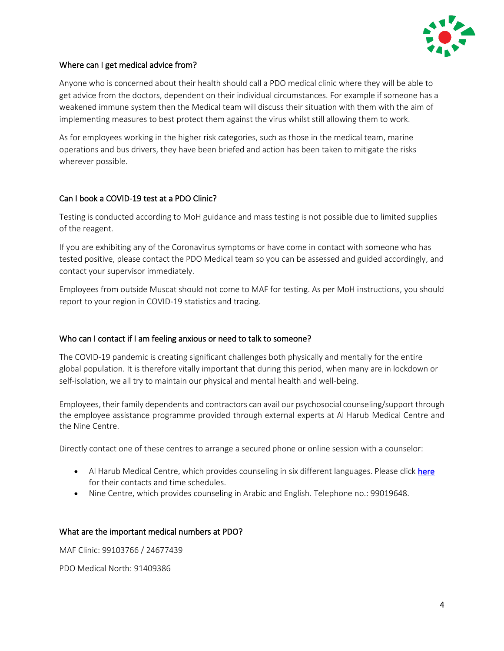

#### Where can I get medical advice from?

Anyone who is concerned about their health should call a PDO medical clinic where they will be able to get advice from the doctors, dependent on their individual circumstances. For example if someone has a weakened immune system then the Medical team will discuss their situation with them with the aim of implementing measures to best protect them against the virus whilst still allowing them to work.

As for employees working in the higher risk categories, such as those in the medical team, marine operations and bus drivers, they have been briefed and action has been taken to mitigate the risks wherever possible.

#### Can I book a COVID-19 test at a PDO Clinic?

Testing is conducted according to MoH guidance and mass testing is not possible due to limited supplies of the reagent.

If you are exhibiting any of the Coronavirus symptoms or have come in contact with someone who has tested positive, please contact the PDO Medical team so you can be assessed and guided accordingly, and contact your supervisor immediately.

Employees from outside Muscat should not come to MAF for testing. As per MoH instructions, you should report to your region in COVID-19 statistics and tracing.

#### Who can I contact if I am feeling anxious or need to talk to someone?

The COVID-19 pandemic is creating significant challenges both physically and mentally for the entire global population. It is therefore vitally important that during this period, when many are in lockdown or self-isolation, we all try to maintain our physical and mental health and well-being.

Employees, their family dependents and contractors can avail our psychosocial counseling/support through the employee assistance programme provided through external experts at Al Harub Medical Centre and the Nine Centre.

Directly contact one of these centres to arrange a secured phone or online session with a counselor:

- Al Harub Medical Centre, which provides counseling in six different languages. Please clic[k here](http://www.pdo.co.om/hseforcontractors/_layouts/xlviewer.aspx?id=/hseforcontractors/corona/Facts/Al%20Harub%20medial%20centre%20contacts.xlsx&Source=http://www.pdo.co.om/hseforcontractors/corona/Forms/AllItems.aspx?RootFolder%3D%252Fhseforcontractors%252Fcorona%252FFacts%26FolderCTID%3D0x012000DE3420C84C684342B95E341EF645A1C4&DefaultItemOpen=1&DefaultItemOpen=1) for their contacts and time schedules.
- Nine Centre, which provides counseling in Arabic and English. Telephone no.: 99019648.

#### What are the important medical numbers at PDO?

MAF Clinic: 99103766 / 24677439

PDO Medical North: 91409386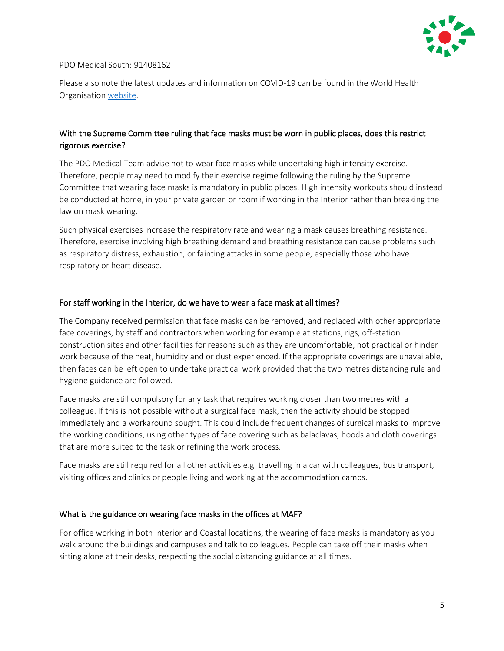

#### PDO Medical South: 91408162

Please also note the latest updates and information on COVID-19 can be found in the World Health Organisation [website.](https://www.who.int/)

# With the Supreme Committee ruling that face masks must be worn in public places, does this restrict rigorous exercise?

The PDO Medical Team advise not to wear face masks while undertaking high intensity exercise. Therefore, people may need to modify their exercise regime following the ruling by the Supreme Committee that wearing face masks is mandatory in public places. High intensity workouts should instead be conducted at home, in your private garden or room if working in the Interior rather than breaking the law on mask wearing.

Such physical exercises increase the respiratory rate and wearing a mask causes breathing resistance. Therefore, exercise involving high breathing demand and breathing resistance can cause problems such as respiratory distress, exhaustion, or fainting attacks in some people, especially those who have respiratory or heart disease.

#### For staff working in the Interior, do we have to wear a face mask at all times?

The Company received permission that face masks can be removed, and replaced with other appropriate face coverings, by staff and contractors when working for example at stations, rigs, off-station construction sites and other facilities for reasons such as they are uncomfortable, not practical or hinder work because of the heat, humidity and or dust experienced. If the appropriate coverings are unavailable, then faces can be left open to undertake practical work provided that the two metres distancing rule and hygiene guidance are followed.

Face masks are still compulsory for any task that requires working closer than two metres with a colleague. If this is not possible without a surgical face mask, then the activity should be stopped immediately and a workaround sought. This could include frequent changes of surgical masks to improve the working conditions, using other types of face covering such as balaclavas, hoods and cloth coverings that are more suited to the task or refining the work process.

Face masks are still required for all other activities e.g. travelling in a car with colleagues, bus transport, visiting offices and clinics or people living and working at the accommodation camps.

#### What is the guidance on wearing face masks in the offices at MAF?

For office working in both Interior and Coastal locations, the wearing of face masks is mandatory as you walk around the buildings and campuses and talk to colleagues. People can take off their masks when sitting alone at their desks, respecting the social distancing guidance at all times.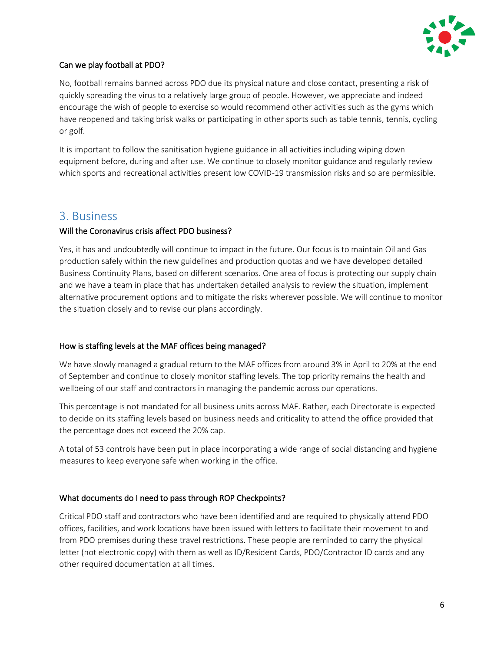

# Can we play football at PDO?

No, football remains banned across PDO due its physical nature and close contact, presenting a risk of quickly spreading the virus to a relatively large group of people. However, we appreciate and indeed encourage the wish of people to exercise so would recommend other activities such as the gyms which have reopened and taking brisk walks or participating in other sports such as table tennis, tennis, cycling or golf.

It is important to follow the sanitisation hygiene guidance in all activities including wiping down equipment before, during and after use. We continue to closely monitor guidance and regularly review which sports and recreational activities present low COVID-19 transmission risks and so are permissible.

# <span id="page-5-0"></span>3. Business

# Will the Coronavirus crisis affect PDO business?

Yes, it has and undoubtedly will continue to impact in the future. Our focus is to maintain Oil and Gas production safely within the new guidelines and production quotas and we have developed detailed Business Continuity Plans, based on different scenarios. One area of focus is protecting our supply chain and we have a team in place that has undertaken detailed analysis to review the situation, implement alternative procurement options and to mitigate the risks wherever possible. We will continue to monitor the situation closely and to revise our plans accordingly.

# How is staffing levels at the MAF offices being managed?

We have slowly managed a gradual return to the MAF offices from around 3% in April to 20% at the end of September and continue to closely monitor staffing levels. The top priority remains the health and wellbeing of our staff and contractors in managing the pandemic across our operations.

This percentage is not mandated for all business units across MAF. Rather, each Directorate is expected to decide on its staffing levels based on business needs and criticality to attend the office provided that the percentage does not exceed the 20% cap.

A total of 53 controls have been put in place incorporating a wide range of social distancing and hygiene measures to keep everyone safe when working in the office.

# What documents do I need to pass through ROP Checkpoints?

Critical PDO staff and contractors who have been identified and are required to physically attend PDO offices, facilities, and work locations have been issued with letters to facilitate their movement to and from PDO premises during these travel restrictions. These people are reminded to carry the physical letter (not electronic copy) with them as well as ID/Resident Cards, PDO/Contractor ID cards and any other required documentation at all times.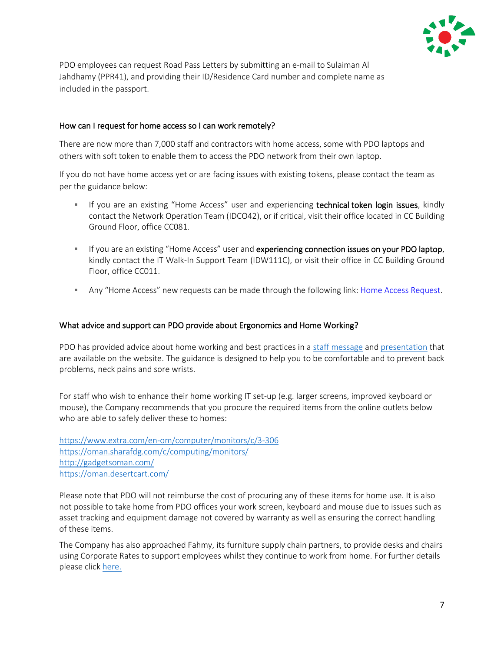

PDO employees can request Road Pass Letters by submitting an e-mail to Sulaiman Al Jahdhamy (PPR41), and providing their ID/Residence Card number and complete name as included in the passport.

#### How can I request for home access so I can work remotely?

There are now more than 7,000 staff and contractors with home access, some with PDO laptops and others with soft token to enable them to access the PDO network from their own laptop.

If you do not have home access yet or are facing issues with existing tokens, please contact the team as per the guidance below:

- **EXECT** If you are an existing "Home Access" user and experiencing technical token login issues, kindly contact the Network Operation Team (IDCO42), or if critical, visit their office located in CC Building Ground Floor, office CC081.
- **EXECT** If you are an existing "Home Access" user and experiencing connection issues on your PDO laptop, kindly contact the IT Walk-In Support Team (IDW111C), or visit their office in CC Building Ground Floor, office CC011.
- **Any "Home Access" new requests can be made through the following link: [Home Access Request.](http://sww.pdo.shell.om/sites/UID/UII/UIIOmain/Lists/Soft%20Token/Item/newifs.aspx)**

#### What advice and support can PDO provide about Ergonomics and Home Working?

PDO has provided advice about home working and best practices in a [staff message](http://portal.corp.pdo.om/Lists/PortalNews/DispForm.aspx?ID=61933) an[d presentation](http://www.pdo.co.om/hseforcontractors/corona/Home%20Working%20Guidance.pdf) that are available on the website. The guidance is designed to help you to be comfortable and to prevent back problems, neck pains and sore wrists.

For staff who wish to enhance their home working IT set-up (e.g. larger screens, improved keyboard or mouse), the Company recommends that you procure the required items from the online outlets below who are able to safely deliver these to homes:

<https://www.extra.com/en-om/computer/monitors/c/3-306> <https://oman.sharafdg.com/c/computing/monitors/> <http://gadgetsoman.com/> <https://oman.desertcart.com/>

Please note that PDO will not reimburse the cost of procuring any of these items for home use. It is also not possible to take home from PDO offices your work screen, keyboard and mouse due to issues such as asset tracking and equipment damage not covered by warranty as well as ensuring the correct handling of these items.

The Company has also approached Fahmy, its furniture supply chain partners, to provide desks and chairs using Corporate Rates to support employees whilst they continue to work from home. For further details please clic[k here.](http://www.pdo.co.om/hseforcontractors/Lists/NewsList/DispForm.aspx?ID=42)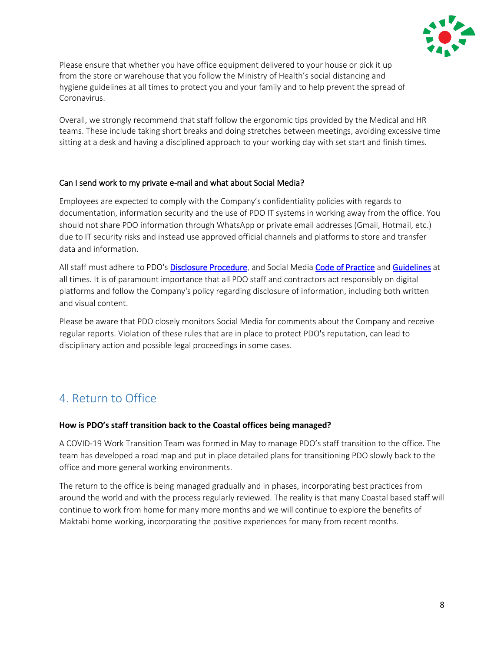

Please ensure that whether you have office equipment delivered to your house or pick it up from the store or warehouse that you follow the Ministry of Health's social distancing and hygiene guidelines at all times to protect you and your family and to help prevent the spread of Coronavirus.

Overall, we strongly recommend that staff follow the ergonomic tips provided by the Medical and HR teams. These include taking short breaks and doing stretches between meetings, avoiding excessive time sitting at a desk and having a disciplined approach to your working day with set start and finish times.

# Can I send work to my private e-mail and what about Social Media?

Employees are expected to comply with the Company's confidentiality policies with regards to documentation, information security and the use of PDO IT systems in working away from the office. You should not share PDO information through WhatsApp or private email addresses (Gmail, Hotmail, etc.) due to IT security risks and instead use approved official channels and platforms to store and transfer data and information.

All staff must adhere to PDO'[s Disclosure Procedure,](http://portal.corp.pdo.om/organisational/EVD/EVX/EVX1/_layouts/15/WopiFrame.aspx?sourcedoc=/organisational/EVD/EVX/EVX1/Documents/20191002/Disclosure%20Procedure%20PR-1707.pdf&action=default) and Social Media [Code of Practice](http://portal.corp.pdo.om/organisational/EVD/EVX/EVX1/_layouts/15/WopiFrame.aspx?sourcedoc=/organisational/EVD/EVX/EVX1/Documents/20191002/Social%20Media%20Code%20of%20Practice%20CP-220.pdf&action=default) and [Guidelines](http://portal.corp.pdo.om/organisational/EVD/_layouts/15/WopiFrame.aspx?sourcedoc=/organisational/EVD/SocialMediaGuidelines/Social%20Media%20Guidelines%20-%20Staff.pdf&action=default) at all times. It is of paramount importance that all PDO staff and contractors act responsibly on digital platforms and follow the Company's policy regarding disclosure of information, including both written and visual content.

Please be aware that PDO closely monitors Social Media for comments about the Company and receive regular reports. Violation of these rules that are in place to protect PDO's reputation, can lead to disciplinary action and possible legal proceedings in some cases.

# <span id="page-7-0"></span>4. Return to Office

# **How is PDO's staff transition back to the Coastal offices being managed?**

A COVID-19 Work Transition Team was formed in May to manage PDO's staff transition to the office. The team has developed a road map and put in place detailed plans for transitioning PDO slowly back to the office and more general working environments.

The return to the office is being managed gradually and in phases, incorporating best practices from around the world and with the process regularly reviewed. The reality is that many Coastal based staff will continue to work from home for many more months and we will continue to explore the benefits of Maktabi home working, incorporating the positive experiences for many from recent months.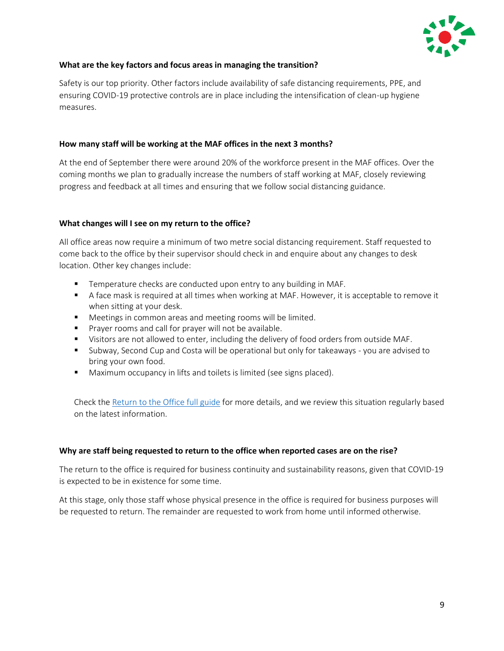

#### **What are the key factors and focus areas in managing the transition?**

Safety is our top priority. Other factors include availability of safe distancing requirements, PPE, and ensuring COVID-19 protective controls are in place including the intensification of clean-up hygiene measures.

#### **How many staff will be working at the MAF offices in the next 3 months?**

At the end of September there were around 20% of the workforce present in the MAF offices. Over the coming months we plan to gradually increase the numbers of staff working at MAF, closely reviewing progress and feedback at all times and ensuring that we follow social distancing guidance.

#### **What changes will I see on my return to the office?**

All office areas now require a minimum of two metre social distancing requirement. Staff requested to come back to the office by their supervisor should check in and enquire about any changes to desk location. Other key changes include:

- Temperature checks are conducted upon entry to any building in MAF.
- A face mask is required at all times when working at MAF. However, it is acceptable to remove it when sitting at your desk.
- Meetings in common areas and meeting rooms will be limited.
- Prayer rooms and call for prayer will not be available.
- **■** Visitors are not allowed to enter, including the delivery of food orders from outside MAF.
- Subway, Second Cup and Costa will be operational but only for takeaways you are advised to bring your own food.
- Maximum occupancy in lifts and toilets is limited (see signs placed).

Check the [Return to the Office full guide](http://portal.corp.pdo.om/Corona/_layouts/15/WopiFrame.aspx?sourcedoc=/Corona/Documents/Return%20to%20Office%20Advice/Return%20to%20Office%20Guide.pdf&action=default) for more details, and we review this situation regularly based on the latest information.

#### **Why are staff being requested to return to the office when reported cases are on the rise?**

The return to the office is required for business continuity and sustainability reasons, given that COVID-19 is expected to be in existence for some time.

At this stage, only those staff whose physical presence in the office is required for business purposes will be requested to return. The remainder are requested to work from home until informed otherwise.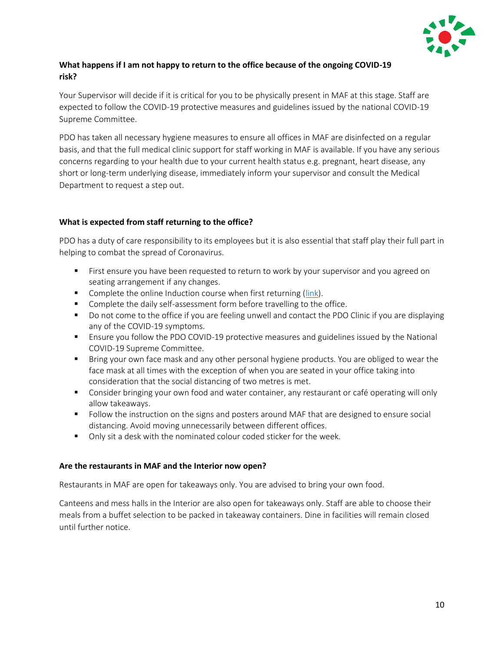

# **What happens if I am not happy to return to the office because of the ongoing COVID-19 risk?**

Your Supervisor will decide if it is critical for you to be physically present in MAF at this stage. Staff are expected to follow the COVID-19 protective measures and guidelines issued by the national COVID-19 Supreme Committee.

PDO has taken all necessary hygiene measures to ensure all offices in MAF are disinfected on a regular basis, and that the full medical clinic support for staff working in MAF is available. If you have any serious concerns regarding to your health due to your current health status e.g. pregnant, heart disease, any short or long-term underlying disease, immediately inform your supervisor and consult the Medical Department to request a step out.

# **What is expected from staff returning to the office?**

PDO has a duty of care responsibility to its employees but it is also essential that staff play their full part in helping to combat the spread of Coronavirus.

- **■** First ensure you have been requested to return to work by your supervisor and you agreed on seating arrangement if any changes.
- Complete the online Induction course when first returning [\(link\)](http://prd434.corp.pdo.om/PTP/Default.aspx).
- Complete the daily self-assessment form before travelling to the office.
- Do not come to the office if you are feeling unwell and contact the PDO Clinic if you are displaying any of the COVID-19 symptoms.
- Ensure you follow the PDO COVID-19 protective measures and guidelines issued by the National COVID-19 Supreme Committee.
- **■** Bring your own face mask and any other personal hygiene products. You are obliged to wear the face mask at all times with the exception of when you are seated in your office taking into consideration that the social distancing of two metres is met.
- Consider bringing your own food and water container, any restaurant or café operating will only allow takeaways.
- Follow the instruction on the signs and posters around MAF that are designed to ensure social distancing. Avoid moving unnecessarily between different offices.
- Only sit a desk with the nominated colour coded sticker for the week.

# **Are the restaurants in MAF and the Interior now open?**

Restaurants in MAF are open for takeaways only. You are advised to bring your own food.

Canteens and mess halls in the Interior are also open for takeaways only. Staff are able to choose their meals from a buffet selection to be packed in takeaway containers. Dine in facilities will remain closed until further notice.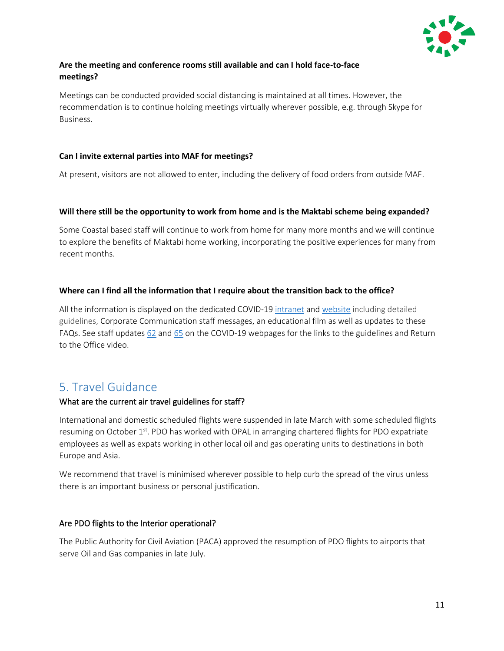

# **Are the meeting and conference rooms still available and can I hold face-to-face meetings?**

Meetings can be conducted provided social distancing is maintained at all times. However, the recommendation is to continue holding meetings virtually wherever possible, e.g. through Skype for Business.

# **Can I invite external parties into MAF for meetings?**

At present, visitors are not allowed to enter, including the delivery of food orders from outside MAF.

#### **Will there still be the opportunity to work from home and is the Maktabi scheme being expanded?**

Some Coastal based staff will continue to work from home for many more months and we will continue to explore the benefits of Maktabi home working, incorporating the positive experiences for many from recent months.

#### **Where can I find all the information that I require about the transition back to the office?**

All the information is displayed on the dedicated COVID-19 [intranet](http://portal.corp.pdo.om/Corona/Pages/default.aspx) and [website](http://www.pdo.co.om/hseforcontractors/Pages/awareness.aspx) including detailed guidelines, Corporate Communication staff messages, an educational film as well as updates to these FAQs. See staff update[s 62](http://www.pdo.co.om/hseforcontractors/Lists/NewsList/DispForm.aspx?ID=65) and [65](http://www.pdo.co.om/hseforcontractors/Lists/NewsList/DispForm.aspx?ID=68) on the COVID-19 webpages for the links to the guidelines and Return to the Office video.

# <span id="page-10-0"></span>5. Travel Guidance

# What are the current air travel guidelines for staff?

International and domestic scheduled flights were suspended in late March with some scheduled flights resuming on October  $1<sup>st</sup>$ . PDO has worked with OPAL in arranging chartered flights for PDO expatriate employees as well as expats working in other local oil and gas operating units to destinations in both Europe and Asia.

We recommend that travel is minimised wherever possible to help curb the spread of the virus unless there is an important business or personal justification.

#### Are PDO flights to the Interior operational?

The Public Authority for Civil Aviation (PACA) approved the resumption of PDO flights to airports that serve Oil and Gas companies in late July.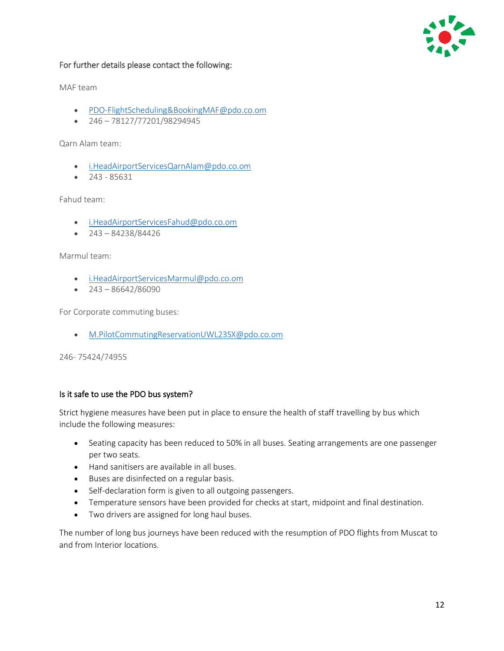

### For further details please contact the following:

MAF team

- [PDO-FlightScheduling&BookingMAF@pdo.co.om](mailto:PDO-FlightScheduling&BookingMAF@pdo.co.om)
- $\bullet$  246 78127/77201/98294945

Qarn Alam team:

- [i.HeadAirportServicesQarnAlam@pdo.co.om](mailto:i.HeadAirportServicesQarnAlam@pdo.co.om)
- 243 85631

Fahud team:

- [i.HeadAirportServicesFahud@pdo.co.om](mailto:i.HeadAirportServicesFahud@pdo.co.om)
- $243 84238/84426$

Marmul team:

- [i.HeadAirportServicesMarmul@pdo.co.om](mailto:i.HeadAirportServicesMarmul@pdo.co.om)
- $243 86642/86090$

For Corporate commuting buses:

• [M.PilotCommutingReservationUWL23SX@pdo.co.om](mailto:M.PilotCommutingReservationUWL23SX@pdo.co.om)

246- 75424/74955

#### Is it safe to use the PDO bus system?

Strict hygiene measures have been put in place to ensure the health of staff travelling by bus which include the following measures:

- Seating capacity has been reduced to 50% in all buses. Seating arrangements are one passenger per two seats.
- Hand sanitisers are available in all buses.
- Buses are disinfected on a regular basis.
- Self-declaration form is given to all outgoing passengers.
- Temperature sensors have been provided for checks at start, midpoint and final destination.
- Two drivers are assigned for long haul buses.

The number of long bus journeys have been reduced with the resumption of PDO flights from Muscat to and from Interior locations.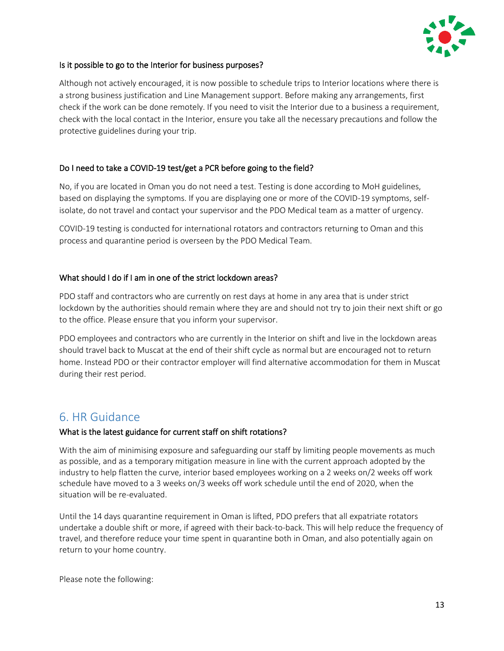

### Is it possible to go to the Interior for business purposes?

Although not actively encouraged, it is now possible to schedule trips to Interior locations where there is a strong business justification and Line Management support. Before making any arrangements, first check if the work can be done remotely. If you need to visit the Interior due to a business a requirement, check with the local contact in the Interior, ensure you take all the necessary precautions and follow the protective guidelines during your trip.

#### Do I need to take a COVID-19 test/get a PCR before going to the field?

No, if you are located in Oman you do not need a test. Testing is done according to MoH guidelines, based on displaying the symptoms. If you are displaying one or more of the COVID-19 symptoms, selfisolate, do not travel and contact your supervisor and the PDO Medical team as a matter of urgency.

COVID-19 testing is conducted for international rotators and contractors returning to Oman and this process and quarantine period is overseen by the PDO Medical Team.

#### What should I do if I am in one of the strict lockdown areas?

PDO staff and contractors who are currently on rest days at home in any area that is under strict lockdown by the authorities should remain where they are and should not try to join their next shift or go to the office. Please ensure that you inform your supervisor.

PDO employees and contractors who are currently in the Interior on shift and live in the lockdown areas should travel back to Muscat at the end of their shift cycle as normal but are encouraged not to return home. Instead PDO or their contractor employer will find alternative accommodation for them in Muscat during their rest period.

# <span id="page-12-0"></span>6. HR Guidance

# What is the latest guidance for current staff on shift rotations?

With the aim of minimising exposure and safeguarding our staff by limiting people movements as much as possible, and as a temporary mitigation measure in line with the current approach adopted by the industry to help flatten the curve, interior based employees working on a 2 weeks on/2 weeks off work schedule have moved to a 3 weeks on/3 weeks off work schedule until the end of 2020, when the situation will be re-evaluated.

Until the 14 days quarantine requirement in Oman is lifted, PDO prefers that all expatriate rotators undertake a double shift or more, if agreed with their back-to-back. This will help reduce the frequency of travel, and therefore reduce your time spent in quarantine both in Oman, and also potentially again on return to your home country.

Please note the following: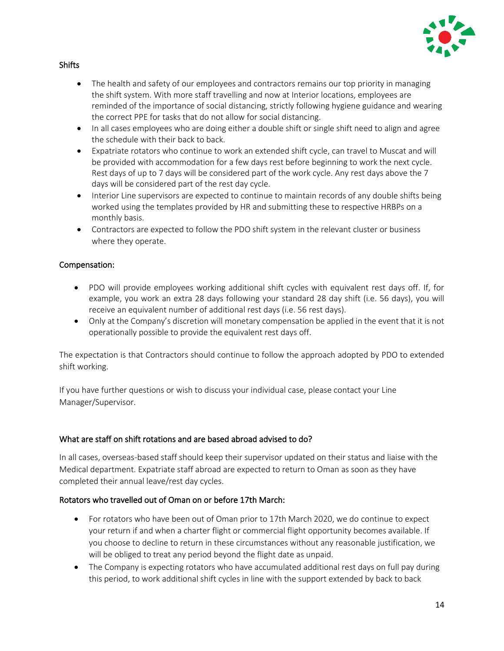

#### **Shifts**

- The health and safety of our employees and contractors remains our top priority in managing the shift system. With more staff travelling and now at Interior locations, employees are reminded of the importance of social distancing, strictly following hygiene guidance and wearing the correct PPE for tasks that do not allow for social distancing.
- In all cases employees who are doing either a double shift or single shift need to align and agree the schedule with their back to back.
- Expatriate rotators who continue to work an extended shift cycle, can travel to Muscat and will be provided with accommodation for a few days rest before beginning to work the next cycle. Rest days of up to 7 days will be considered part of the work cycle. Any rest days above the 7 days will be considered part of the rest day cycle.
- Interior Line supervisors are expected to continue to maintain records of any double shifts being worked using the templates provided by HR and submitting these to respective HRBPs on a monthly basis.
- Contractors are expected to follow the PDO shift system in the relevant cluster or business where they operate.

#### Compensation:

- PDO will provide employees working additional shift cycles with equivalent rest days off. If, for example, you work an extra 28 days following your standard 28 day shift (i.e. 56 days), you will receive an equivalent number of additional rest days (i.e. 56 rest days).
- Only at the Company's discretion will monetary compensation be applied in the event that it is not operationally possible to provide the equivalent rest days off.

The expectation is that Contractors should continue to follow the approach adopted by PDO to extended shift working.

If you have further questions or wish to discuss your individual case, please contact your Line Manager/Supervisor.

# What are staff on shift rotations and are based abroad advised to do?

In all cases, overseas-based staff should keep their supervisor updated on their status and liaise with the Medical department. Expatriate staff abroad are expected to return to Oman as soon as they have completed their annual leave/rest day cycles.

# Rotators who travelled out of Oman on or before 17th March:

- For rotators who have been out of Oman prior to 17th March 2020, we do continue to expect your return if and when a charter flight or commercial flight opportunity becomes available. If you choose to decline to return in these circumstances without any reasonable justification, we will be obliged to treat any period beyond the flight date as unpaid.
- The Company is expecting rotators who have accumulated additional rest days on full pay during this period, to work additional shift cycles in line with the support extended by back to back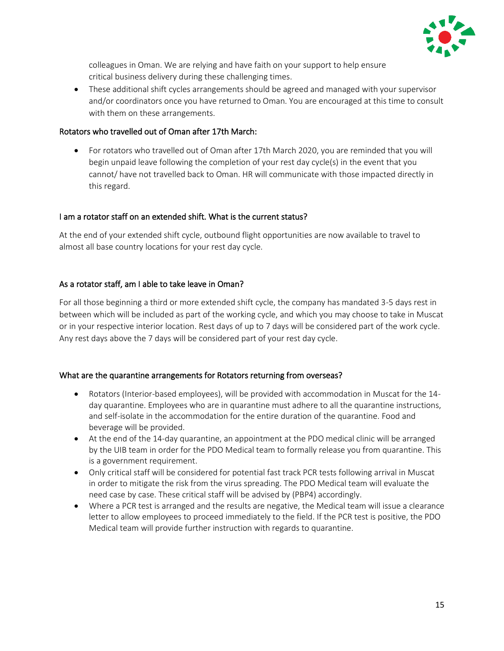

colleagues in Oman. We are relying and have faith on your support to help ensure critical business delivery during these challenging times.

• These additional shift cycles arrangements should be agreed and managed with your supervisor and/or coordinators once you have returned to Oman. You are encouraged at this time to consult with them on these arrangements.

# Rotators who travelled out of Oman after 17th March:

• For rotators who travelled out of Oman after 17th March 2020, you are reminded that you will begin unpaid leave following the completion of your rest day cycle(s) in the event that you cannot/ have not travelled back to Oman. HR will communicate with those impacted directly in this regard.

# I am a rotator staff on an extended shift. What is the current status?

At the end of your extended shift cycle, outbound flight opportunities are now available to travel to almost all base country locations for your rest day cycle.

# As a rotator staff, am I able to take leave in Oman?

For all those beginning a third or more extended shift cycle, the company has mandated 3-5 days rest in between which will be included as part of the working cycle, and which you may choose to take in Muscat or in your respective interior location. Rest days of up to 7 days will be considered part of the work cycle. Any rest days above the 7 days will be considered part of your rest day cycle.

# What are the quarantine arrangements for Rotators returning from overseas?

- Rotators (Interior-based employees), will be provided with accommodation in Muscat for the 14 day quarantine. Employees who are in quarantine must adhere to all the quarantine instructions, and self-isolate in the accommodation for the entire duration of the quarantine. Food and beverage will be provided.
- At the end of the 14-day quarantine, an appointment at the PDO medical clinic will be arranged by the UIB team in order for the PDO Medical team to formally release you from quarantine. This is a government requirement.
- Only critical staff will be considered for potential fast track PCR tests following arrival in Muscat in order to mitigate the risk from the virus spreading. The PDO Medical team will evaluate the need case by case. These critical staff will be advised by (PBP4) accordingly.
- Where a PCR test is arranged and the results are negative, the Medical team will issue a clearance letter to allow employees to proceed immediately to the field. If the PCR test is positive, the PDO Medical team will provide further instruction with regards to quarantine.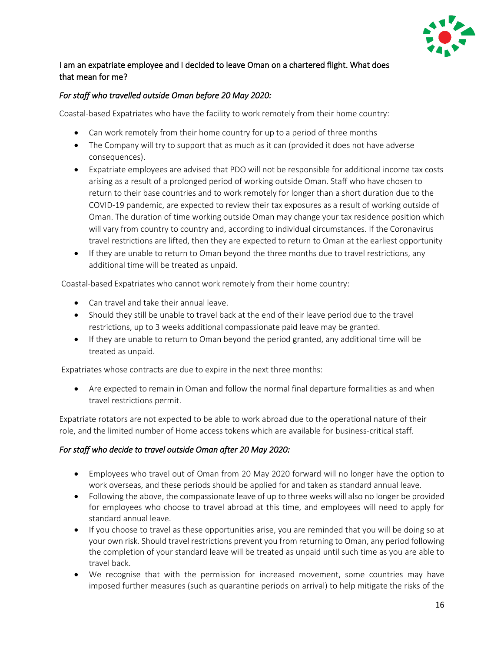

# I am an expatriate employee and I decided to leave Oman on a chartered flight. What does that mean for me?

# *For staff who travelled outside Oman before 20 May 2020:*

Coastal-based Expatriates who have the facility to work remotely from their home country:

- Can work remotely from their home country for up to a period of three months
- The Company will try to support that as much as it can (provided it does not have adverse consequences).
- Expatriate employees are advised that PDO will not be responsible for additional income tax costs arising as a result of a prolonged period of working outside Oman. Staff who have chosen to return to their base countries and to work remotely for longer than a short duration due to the COVID-19 pandemic, are expected to review their tax exposures as a result of working outside of Oman. The duration of time working outside Oman may change your tax residence position which will vary from country to country and, according to individual circumstances. If the Coronavirus travel restrictions are lifted, then they are expected to return to Oman at the earliest opportunity
- If they are unable to return to Oman beyond the three months due to travel restrictions, any additional time will be treated as unpaid.

Coastal-based Expatriates who cannot work remotely from their home country:

- Can travel and take their annual leave.
- Should they still be unable to travel back at the end of their leave period due to the travel restrictions, up to 3 weeks additional compassionate paid leave may be granted.
- If they are unable to return to Oman beyond the period granted, any additional time will be treated as unpaid.

Expatriates whose contracts are due to expire in the next three months:

• Are expected to remain in Oman and follow the normal final departure formalities as and when travel restrictions permit.

Expatriate rotators are not expected to be able to work abroad due to the operational nature of their role, and the limited number of Home access tokens which are available for business-critical staff.

# *For staff who decide to travel outside Oman after 20 May 2020:*

- Employees who travel out of Oman from 20 May 2020 forward will no longer have the option to work overseas, and these periods should be applied for and taken as standard annual leave.
- Following the above, the compassionate leave of up to three weeks will also no longer be provided for employees who choose to travel abroad at this time, and employees will need to apply for standard annual leave.
- If you choose to travel as these opportunities arise, you are reminded that you will be doing so at your own risk. Should travel restrictions prevent you from returning to Oman, any period following the completion of your standard leave will be treated as unpaid until such time as you are able to travel back.
- We recognise that with the permission for increased movement, some countries may have imposed further measures (such as quarantine periods on arrival) to help mitigate the risks of the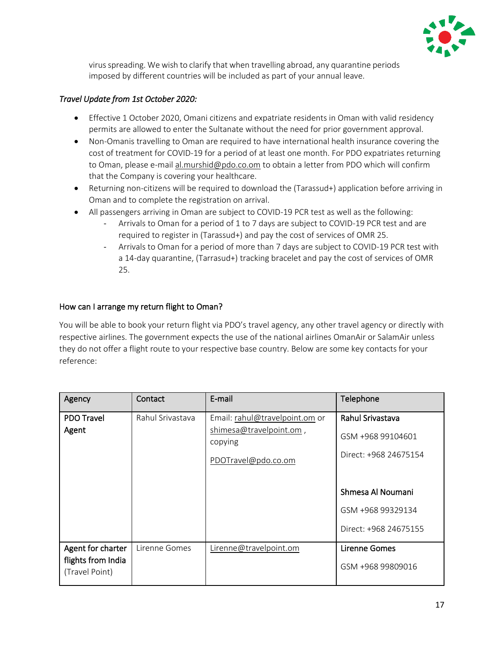

virus spreading. We wish to clarify that when travelling abroad, any quarantine periods imposed by different countries will be included as part of your annual leave.

# *Travel Update from 1st October 2020:*

- Effective 1 October 2020, Omani citizens and expatriate residents in Oman with valid residency permits are allowed to enter the Sultanate without the need for prior government approval.
- Non-Omanis travelling to Oman are required to have international health insurance covering the cost of treatment for COVID-19 for a period of at least one month. For PDO expatriates returning to Oman, please e-mail [al.murshid@pdo.co.om](mailto:al.murshid@pdo.co.om) to obtain a letter from PDO which will confirm that the Company is covering your healthcare.
- Returning non-citizens will be required to download the (Tarassud+) application before arriving in Oman and to complete the registration on arrival.
- All passengers arriving in Oman are subject to COVID-19 PCR test as well as the following:
	- Arrivals to Oman for a period of 1 to 7 days are subject to COVID-19 PCR test and are required to register in (Tarassud+) and pay the cost of services of OMR 25.
	- Arrivals to Oman for a period of more than 7 days are subject to COVID-19 PCR test with a 14-day quarantine, (Tarrasud+) tracking bracelet and pay the cost of services of OMR 25.

# How can I arrange my return flight to Oman?

You will be able to book your return flight via PDO's travel agency, any other travel agency or directly with respective airlines. The government expects the use of the national airlines OmanAir or SalamAir unless they do not offer a flight route to your respective base country. Below are some key contacts for your reference:

| Agency                               | Contact          | E-mail                             | Telephone             |
|--------------------------------------|------------------|------------------------------------|-----------------------|
| <b>PDO Travel</b>                    | Rahul Srivastava | Email: rahul@travelpoint.om or     | Rahul Srivastava      |
| Agent                                |                  | shimesa@travelpoint.om,<br>copying | GSM +968 99104601     |
|                                      |                  | PDOTravel@pdo.co.om                | Direct: +968 24675154 |
|                                      |                  |                                    |                       |
|                                      |                  |                                    | Shmesa Al Noumani     |
|                                      |                  |                                    | GSM +968 99329134     |
|                                      |                  |                                    | Direct: +968 24675155 |
| Agent for charter                    | Lirenne Gomes    | Lirenne@travelpoint.om             | <b>Lirenne Gomes</b>  |
| flights from India<br>(Travel Point) |                  |                                    | GSM +968 99809016     |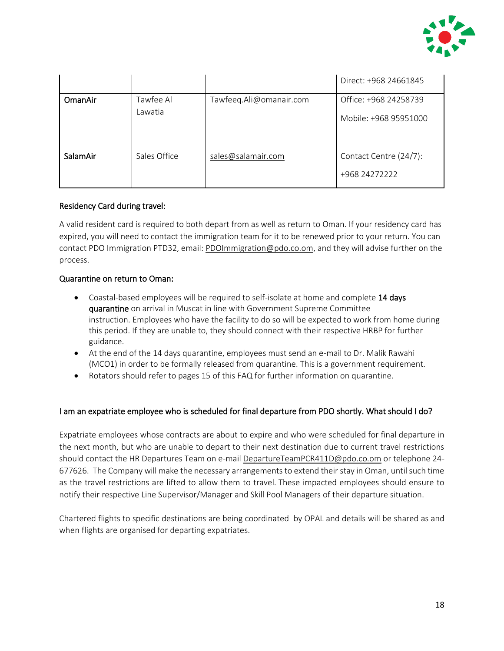

|          |                      |                         | Direct: +968 24661845                          |
|----------|----------------------|-------------------------|------------------------------------------------|
| OmanAir  | Tawfee Al<br>Lawatia | Tawfeeq.Ali@omanair.com | Office: +968 24258739<br>Mobile: +968 95951000 |
| SalamAir | Sales Office         | sales@salamair.com      | Contact Centre (24/7):<br>+968 24272222        |

#### Residency Card during travel:

A valid resident card is required to both depart from as well as return to Oman. If your residency card has expired, you will need to contact the immigration team for it to be renewed prior to your return. You can contact PDO Immigration PTD32, email[: PDOImmigration@pdo.co.om,](mailto:PDOImmigration@pdo.co.om) and they will advise further on the process.

#### Quarantine on return to Oman:

- Coastal-based employees will be required to self-isolate at home and complete 14 days quarantine on arrival in Muscat in line with Government Supreme Committee instruction. Employees who have the facility to do so will be expected to work from home during this period. If they are unable to, they should connect with their respective HRBP for further guidance.
- At the end of the 14 days quarantine, employees must send an e-mail to Dr. Malik Rawahi (MCO1) in order to be formally released from quarantine. This is a government requirement.
- Rotators should refer to pages 15 of this FAQ for further information on quarantine.

#### I am an expatriate employee who is scheduled for final departure from PDO shortly. What should I do?

Expatriate employees whose contracts are about to expire and who were scheduled for final departure in the next month, but who are unable to depart to their next destination due to current travel restrictions should contact the HR Departures Team on e-mail [DepartureTeamPCR411D@pdo.co.om](mailto:DepartureTeamPCR411D@pdo.co.om) or telephone 24-677626. The Company will make the necessary arrangements to extend their stay in Oman, until such time as the travel restrictions are lifted to allow them to travel. These impacted employees should ensure to notify their respective Line Supervisor/Manager and Skill Pool Managers of their departure situation.

Chartered flights to specific destinations are being coordinated by OPAL and details will be shared as and when flights are organised for departing expatriates.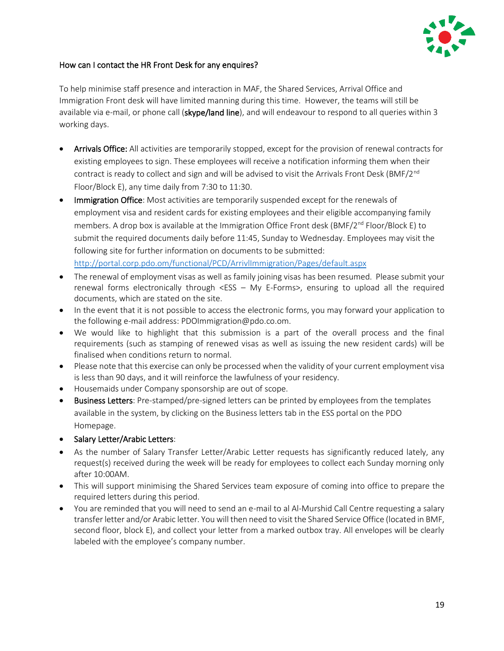

# How can I contact the HR Front Desk for any enquires?

To help minimise staff presence and interaction in MAF, the Shared Services, Arrival Office and Immigration Front desk will have limited manning during this time. However, the teams will still be available via e-mail, or phone call (skype/land line), and will endeavour to respond to all queries within 3 working days.

- Arrivals Office: All activities are temporarily stopped, except for the provision of renewal contracts for existing employees to sign. These employees will receive a notification informing them when their contract is ready to collect and sign and will be advised to visit the Arrivals Front Desk (BMF/2<sup>nd</sup> Floor/Block E), any time daily from 7:30 to 11:30.
- Immigration Office: Most activities are temporarily suspended except for the renewals of employment visa and resident cards for existing employees and their eligible accompanying family members. A drop box is available at the Immigration Office Front desk (BMF/2<sup>nd</sup> Floor/Block E) to submit the required documents daily before 11:45, Sunday to Wednesday. Employees may visit the following site for further information on documents to be submitted: <http://portal.corp.pdo.om/functional/PCD/ArrivlImmigration/Pages/default.aspx>
- The renewal of employment visas as well as family joining visas has been resumed. Please submit your renewal forms electronically through <ESS – My E-Forms>, ensuring to upload all the required documents, which are stated on the site.
- In the event that it is not possible to access the electronic forms, you may forward your application to the following e-mail address: [PDOImmigration@pdo.co.om.](mailto:PDOImmigration@pdo.co.om)
- We would like to highlight that this submission is a part of the overall process and the final requirements (such as stamping of renewed visas as well as issuing the new resident cards) will be finalised when conditions return to normal.
- Please note that this exercise can only be processed when the validity of your current employment visa is less than 90 days, and it will reinforce the lawfulness of your residency.
- Housemaids under Company sponsorship are out of scope.
- Business Letters: Pre-stamped/pre-signed letters can be printed by employees from the templates available in the system, by clicking on the Business letters tab in the ESS portal on the PDO Homepage.
- Salary Letter/Arabic Letters:
- As the number of Salary Transfer Letter/Arabic Letter requests has significantly reduced lately, any request(s) received during the week will be ready for employees to collect each Sunday morning only after 10:00AM.
- This will support minimising the Shared Services team exposure of coming into office to prepare the required letters during this period.
- You are reminded that you will need to send an e-mail to al Al-Murshid Call Centre requesting a salary transfer letter and/or Arabic letter. You will then need to visit the Shared Service Office (located in BMF, second floor, block E), and collect your letter from a marked outbox tray. All envelopes will be clearly labeled with the employee's company number.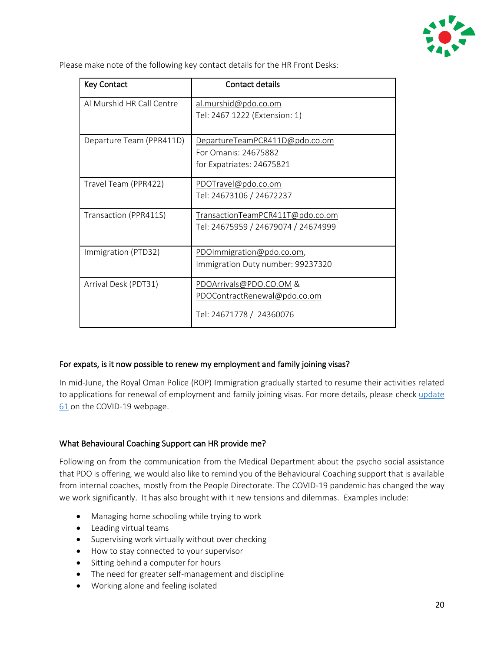

Please make note of the following key contact details for the HR Front Desks:

| <b>Key Contact</b>        | <b>Contact details</b>              |
|---------------------------|-------------------------------------|
| Al Murshid HR Call Centre | al.murshid@pdo.co.om                |
|                           | Tel: 2467 1222 (Extension: 1)       |
| Departure Team (PPR411D)  | DepartureTeamPCR411D@pdo.co.om      |
|                           | For Omanis: 24675882                |
|                           | for Expatriates: 24675821           |
| Travel Team (PPR422)      | PDOTravel@pdo.co.om                 |
|                           | Tel: 24673106 / 24672237            |
| Transaction (PPR411S)     | TransactionTeamPCR411T@pdo.co.om    |
|                           | Tel: 24675959 / 24679074 / 24674999 |
|                           |                                     |
| Immigration (PTD32)       | PDOImmigration@pdo.co.om,           |
|                           | Immigration Duty number: 99237320   |
| Arrival Desk (PDT31)      | PDOArrivals@PDO.CO.OM&              |
|                           | PDOContractRenewal@pdo.co.om        |
|                           | Tel: 24671778 / 24360076            |

# For expats, is it now possible to renew my employment and family joining visas?

In mid-June, the Royal Oman Police (ROP) Immigration gradually started to resume their activities related to applications for renewal of employment and family joining visas. For more details, please chec[k update](http://www.pdo.co.om/hseforcontractors/Lists/NewsList/DispForm.aspx?ID=64)  [61](http://www.pdo.co.om/hseforcontractors/Lists/NewsList/DispForm.aspx?ID=64) on the COVID-19 webpage.

# What Behavioural Coaching Support can HR provide me?

Following on from the communication from the Medical Department about the psycho social assistance that PDO is offering, we would also like to remind you of the Behavioural Coaching support that is available from internal coaches, mostly from the People Directorate. The COVID-19 pandemic has changed the way we work significantly. It has also brought with it new tensions and dilemmas. Examples include:

- Managing home schooling while trying to work
- Leading virtual teams
- Supervising work virtually without over checking
- How to stay connected to your supervisor
- Sitting behind a computer for hours
- The need for greater self-management and discipline
- Working alone and feeling isolated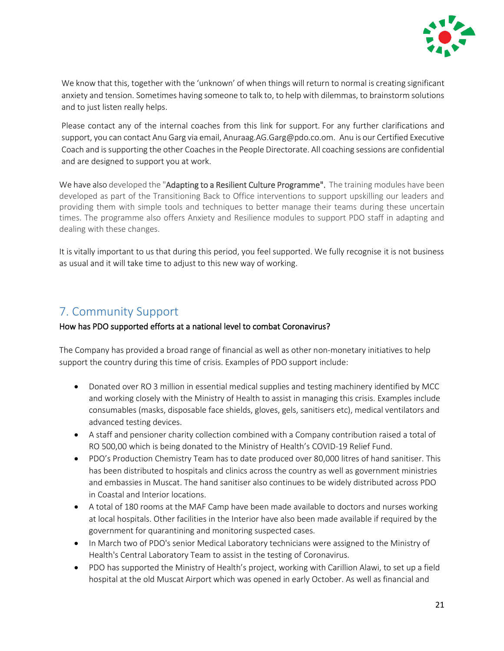

We know that this, together with the 'unknown' of when things will return to normal is creating significant anxiety and tension. Sometimes having someone to talk to, to help with dilemmas, to brainstorm solutions and to just listen really helps.

Please contact any of the internal coaches from this [link](http://portal.corp.pdo.om/functional/PCD/Documents/Coaching/List%20of%20Internal%20Coaches%202020.xlsx?Web=1) for support. For any further clarifications and support, you can contact Anu Garg via email[, Anuraag.AG.Garg@pdo.co.om.](mailto:Anuraag.AG.Garg@pdo.co.om) Anu is our Certified Executive Coach and is supporting the other Coaches in the People Directorate. All coaching sessions are confidential and are designed to support you at work.

We have also developed the "Adapting to a Resilient Culture Programme". The training modules have been developed as part of the Transitioning Back to Office interventions to support upskilling our leaders and providing them with simple tools and techniques to better manage their teams during these uncertain times. The programme also offers Anxiety and Resilience modules to support PDO staff in adapting and dealing with these changes.

It is vitally important to us that during this period, you feel supported. We fully recognise it is not business as usual and it will take time to adjust to this new way of working.

# <span id="page-20-0"></span>7. Community Support

### How has PDO supported efforts at a national level to combat Coronavirus?

The Company has provided a broad range of financial as well as other non-monetary initiatives to help support the country during this time of crisis. Examples of PDO support include:

- Donated over RO 3 million in essential medical supplies and testing machinery identified by MCC and working closely with the Ministry of Health to assist in managing this crisis. Examples include consumables (masks, disposable face shields, gloves, gels, sanitisers etc), medical ventilators and advanced testing devices.
- A staff and pensioner charity collection combined with a Company contribution raised a total of RO 500,00 which is being donated to the Ministry of Health's COVID-19 Relief Fund.
- PDO's Production Chemistry Team has to date produced over 80,000 litres of hand sanitiser. This has been distributed to hospitals and clinics across the country as well as government ministries and embassies in Muscat. The hand sanitiser also continues to be widely distributed across PDO in Coastal and Interior locations.
- A total of 180 rooms at the MAF Camp have been made available to doctors and nurses working at local hospitals. Other facilities in the Interior have also been made available if required by the government for quarantining and monitoring suspected cases.
- In March two of PDO's senior Medical Laboratory technicians were assigned to the Ministry of Health's Central Laboratory Team to assist in the testing of Coronavirus.
- PDO has supported the Ministry of Health's project, working with Carillion Alawi, to set up a field hospital at the old Muscat Airport which was opened in early October. As well as financial and